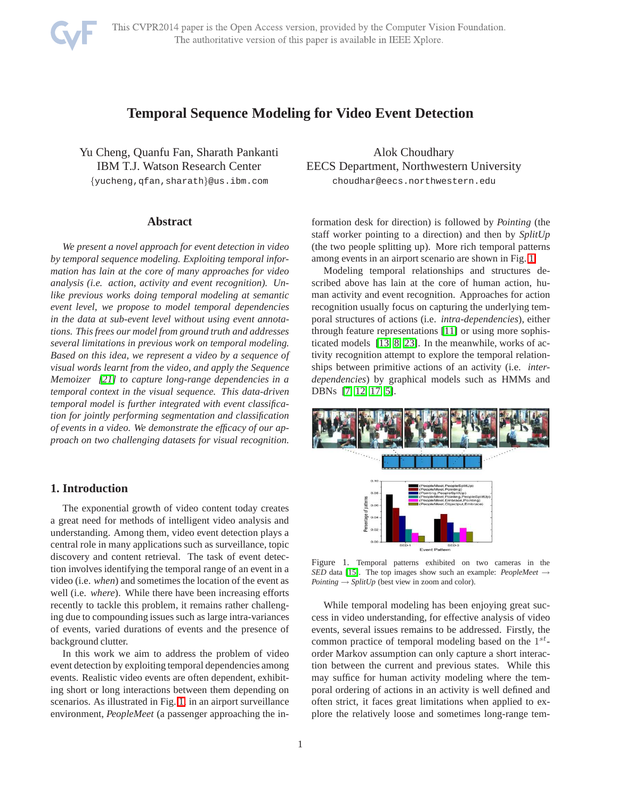# **Temporal Sequence Modeling for Video Event Detection**

Yu Cheng, Quanfu Fan, Sharath Pankanti IBM T.J. Watson Research Center

{yucheng,qfan,sharath}@us.ibm.com

# **Abstract**

*We present a novel approach for event detection in video by temporal sequence modeling. Exploiting temporal information has lain at the core of many approaches for video analysis (i.e. action, activity and event recognition). Unlike previous works doing temporal modeling at semantic event level, we propose to model temporal dependencies in the data at sub-event level without using event annotations. This frees our model from ground truth and addresses several limitations in previous work on temporal modeling. Based on this idea, we represent a video by a sequence of visual words learnt from the video, and apply the Sequence Memoizer [\[21\]](#page-7-0) to capture long-range dependencies in a temporal context in the visual sequence. This data-driven temporal model is further integrated with event classification for jointly performing segmentation and classification of events in a video. We demonstrate the efficacy of our approach on two challenging datasets for visual recognition.*

# <span id="page-0-1"></span>**1. Introduction**

The exponential growth of video content today creates a great need for methods of intelligent video analysis and understanding. Among them, video event detection plays a central role in many applications such as surveillance, topic discovery and content retrieval. The task of event detection involves identifying the temporal range of an event in a video (i.e. *when*) and sometimes the location of the event as well (i.e. *where*). While there have been increasing efforts recently to tackle this problem, it remains rather challenging due to compounding issues such as large intra-variances of events, varied durations of events and the presence of background clutter.

In this work we aim to address the problem of video event detection by exploiting temporal dependencies among events. Realistic video events are often dependent, exhibiting short or long interactions between them depending on scenarios. As illustrated in Fig. [1,](#page-0-0) in an airport surveillance environment, *PeopleMeet* (a passenger approaching the in-

Alok Choudhary EECS Department, Northwestern University choudhar@eecs.northwestern.edu

formation desk for direction) is followed by *Pointing* (the staff worker pointing to a direction) and then by *SplitUp* (the two people splitting up). More rich temporal patterns among events in an airport scenario are shown in Fig. [1.](#page-0-0)

Modeling temporal relationships and structures described above has lain at the core of human action, human activity and event recognition. Approaches for action recognition usually focus on capturing the underlying temporal structures of actions (i.e. *intra-dependencies*), either through feature representations [\[11\]](#page-7-1) or using more sophisticated models [\[13,](#page-7-2) [8,](#page-7-3) [23\]](#page-7-4). In the meanwhile, works of activity recognition attempt to explore the temporal relationships between primitive actions of an activity (i.e. *interdependencies*) by graphical models such as HMMs and DBNs [\[7,](#page-7-5) [12,](#page-7-6) [17,](#page-7-7) [5\]](#page-7-8).



<span id="page-0-0"></span>Figure 1. Temporal patterns exhibited on two cameras in the *SED* data [\[15\]](#page-7-9). The top images show such an example: *PeopleMeet* → *Pointing*  $\rightarrow$  *SplitUp* (best view in zoom and color).

While temporal modeling has been enjoying great success in video understanding, for effective analysis of video events, several issues remains to be addressed. Firstly, the common practice of temporal modeling based on the  $1^{st}$ order Markov assumption can only capture a short interaction between the current and previous states. While this may suffice for human activity modeling where the temporal ordering of actions in an activity is well defined and often strict, it faces great limitations when applied to explore the relatively loose and sometimes long-range tem-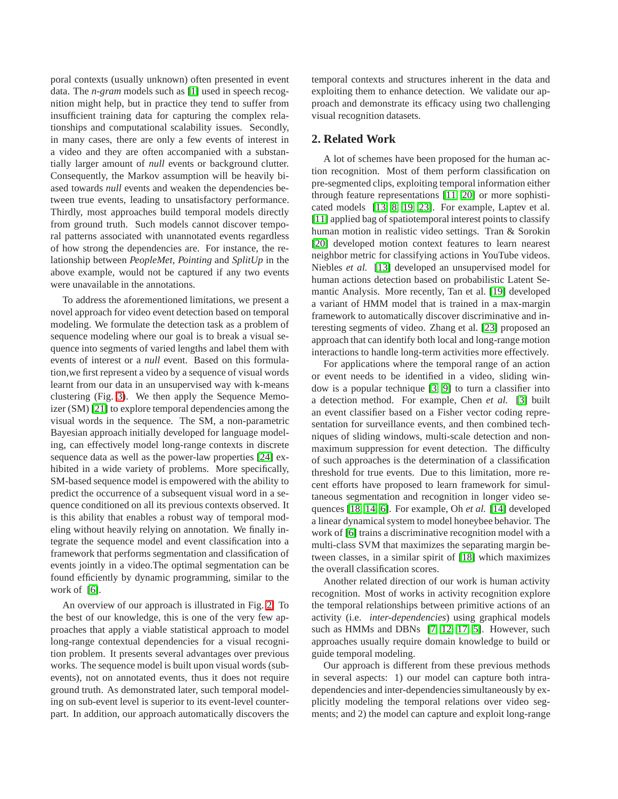poral contexts (usually unknown) often presented in event data. The *n-gram* models such as [\[1\]](#page-7-10) used in speech recognition might help, but in practice they tend to suffer from insufficient training data for capturing the complex relationships and computational scalability issues. Secondly, in many cases, there are only a few events of interest in a video and they are often accompanied with a substantially larger amount of *null* events or background clutter. Consequently, the Markov assumption will be heavily biased towards *null* events and weaken the dependencies between true events, leading to unsatisfactory performance. Thirdly, most approaches build temporal models directly from ground truth. Such models cannot discover temporal patterns associated with unannotated events regardless of how strong the dependencies are. For instance, the relationship between *PeopleMet*, *Pointing* and *SplitUp* in the above example, would not be captured if any two events were unavailable in the annotations.

To address the aforementioned limitations, we present a novel approach for video event detection based on temporal modeling. We formulate the detection task as a problem of sequence modeling where our goal is to break a visual sequence into segments of varied lengths and label them with events of interest or a *null* event. Based on this formulation,we first represent a video by a sequence of visual words learnt from our data in an unsupervised way with k-means clustering (Fig. [3\)](#page-2-0). We then apply the Sequence Memoizer (SM) [\[21\]](#page-7-0) to explore temporal dependencies among the visual words in the sequence. The SM, a non-parametric Bayesian approach initially developed for language modeling, can effectively model long-range contexts in discrete sequence data as well as the power-law properties [\[24\]](#page-7-11) exhibited in a wide variety of problems. More specifically, SM-based sequence model is empowered with the ability to predict the occurrence of a subsequent visual word in a sequence conditioned on all its previous contexts observed. It is this ability that enables a robust way of temporal modeling without heavily relying on annotation. We finally integrate the sequence model and event classification into a framework that performs segmentation and classification of events jointly in a video.The optimal segmentation can be found efficiently by dynamic programming, similar to the work of [\[6\]](#page-7-12).

An overview of our approach is illustrated in Fig. [2.](#page-2-1) To the best of our knowledge, this is one of the very few approaches that apply a viable statistical approach to model long-range contextual dependencies for a visual recognition problem. It presents several advantages over previous works. The sequence model is built upon visual words (subevents), not on annotated events, thus it does not require ground truth. As demonstrated later, such temporal modeling on sub-event level is superior to its event-level counterpart. In addition, our approach automatically discovers the

temporal contexts and structures inherent in the data and exploiting them to enhance detection. We validate our approach and demonstrate its efficacy using two challenging visual recognition datasets.

# **2. Related Work**

A lot of schemes have been proposed for the human action recognition. Most of them perform classification on pre-segmented clips, exploiting temporal information either through feature representations [\[11,](#page-7-1) [20\]](#page-7-13) or more sophisticated models [\[13,](#page-7-2) [8,](#page-7-3) [19,](#page-7-14) [23\]](#page-7-4). For example, Laptev et al. [\[11\]](#page-7-1) applied bag of spatiotemporal interest points to classify human motion in realistic video settings. Tran & Sorokin [\[20\]](#page-7-13) developed motion context features to learn nearest neighbor metric for classifying actions in YouTube videos. Niebles *et al.* [\[13\]](#page-7-2) developed an unsupervised model for human actions detection based on probabilistic Latent Semantic Analysis. More recently, Tan et al. [\[19\]](#page-7-14) developed a variant of HMM model that is trained in a max-margin framework to automatically discover discriminative and interesting segments of video. Zhang et al. [\[23\]](#page-7-4) proposed an approach that can identify both local and long-range motion interactions to handle long-term activities more effectively.

For applications where the temporal range of an action or event needs to be identified in a video, sliding window is a popular technique [\[3,](#page-7-15) [9\]](#page-7-16) to turn a classifier into a detection method. For example, Chen *et al.* [\[3\]](#page-7-15) built an event classifier based on a Fisher vector coding representation for surveillance events, and then combined techniques of sliding windows, multi-scale detection and nonmaximum suppression for event detection. The difficulty of such approaches is the determination of a classification threshold for true events. Due to this limitation, more recent efforts have proposed to learn framework for simultaneous segmentation and recognition in longer video sequences [\[18,](#page-7-17) [14,](#page-7-18) [6\]](#page-7-12). For example, Oh *et al.* [\[14\]](#page-7-18) developed a linear dynamical system to model honeybee behavior. The work of [\[6\]](#page-7-12) trains a discriminative recognition model with a multi-class SVM that maximizes the separating margin between classes, in a similar spirit of [\[18\]](#page-7-17) which maximizes the overall classification scores.

Another related direction of our work is human activity recognition. Most of works in activity recognition explore the temporal relationships between primitive actions of an activity (i.e. *inter-dependencies*) using graphical models such as HMMs and DBNs [\[7,](#page-7-5) [12,](#page-7-6) [17,](#page-7-7) [5\]](#page-7-8). However, such approaches usually require domain knowledge to build or guide temporal modeling.

Our approach is different from these previous methods in several aspects: 1) our model can capture both intradependencies and inter-dependencies simultaneously by explicitly modeling the temporal relations over video segments; and 2) the model can capture and exploit long-range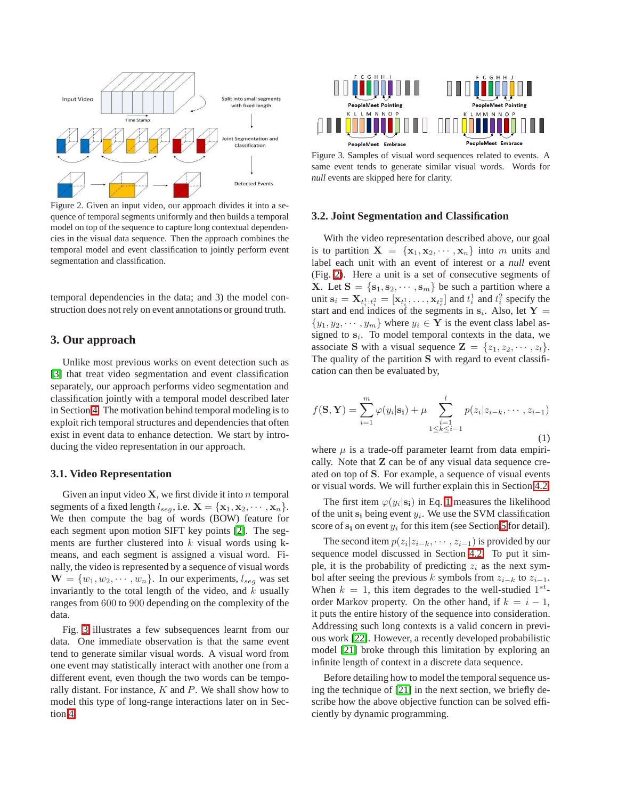

<span id="page-2-1"></span>Figure 2. Given an input video, our approach divides it into a sequence of temporal segments uniformly and then builds a temporal model on top of the sequence to capture long contextual dependencies in the visual data sequence. Then the approach combines the temporal model and event classification to jointly perform event segmentation and classification.

temporal dependencies in the data; and 3) the model construction does not rely on event annotations or ground truth.

### <span id="page-2-3"></span>**3. Our approach**

Unlike most previous works on event detection such as [\[3\]](#page-7-15) that treat video segmentation and event classification separately, our approach performs video segmentation and classification jointly with a temporal model described later in Section [4.](#page-3-0) The motivation behind temporal modeling is to exploit rich temporal structures and dependencies that often exist in event data to enhance detection. We start by introducing the video representation in our approach.

#### <span id="page-2-4"></span>**3.1. Video Representation**

Given an input video  $X$ , we first divide it into *n* temporal segments of a fixed length  $l_{seg}$ , i.e.  $\mathbf{X} = {\mathbf{x}_1, \mathbf{x}_2, \cdots, \mathbf{x}_n}$ . We then compute the bag of words (BOW) feature for each segment upon motion SIFT key points [\[2\]](#page-7-19). The segments are further clustered into  $k$  visual words using  $k$ means, and each segment is assigned a visual word. Finally, the video is represented by a sequence of visual words  $\mathbf{W} = \{w_1, w_2, \cdots, w_n\}$ . In our experiments,  $l_{seq}$  was set invariantly to the total length of the video, and  $k$  usually ranges from 600 to 900 depending on the complexity of the data.

Fig. [3](#page-2-0) illustrates a few subsequences learnt from our data. One immediate observation is that the same event tend to generate similar visual words. A visual word from one event may statistically interact with another one from a different event, even though the two words can be temporally distant. For instance,  $K$  and  $P$ . We shall show how to model this type of long-range interactions later on in Section [4.](#page-3-0)



<span id="page-2-0"></span>Figure 3. Samples of visual word sequences related to events. A same event tends to generate similar visual words. Words for *null* events are skipped here for clarity.

#### **3.2. Joint Segmentation and Classification**

With the video representation described above, our goal is to partition  $X = \{x_1, x_2, \dots, x_n\}$  into m units and label each unit with an event of interest or a *null* event (Fig. [2\)](#page-2-1). Here a unit is a set of consecutive segments of **X**. Let  $S = \{s_1, s_2, \dots, s_m\}$  be such a partition where a unit  $\mathbf{s}_i = \mathbf{X}_{t_i^1:t_i^2} = [\mathbf{x}_{t_i^1}, \dots, \mathbf{x}_{t_i^2}]$  and  $t_i^1$  and  $t_i^2$  specify the start and end indices of the segments in  $s_i$ . Also, let  $Y =$  $\{y_1, y_2, \dots, y_m\}$  where  $y_i \in Y$  is the event class label assigned to  $s_i$ . To model temporal contexts in the data, we associate S with a visual sequence  $\mathbf{Z} = \{z_1, z_2, \cdots, z_l\}.$ The quality of the partition S with regard to event classification can then be evaluated by,

<span id="page-2-2"></span>
$$
f(\mathbf{S}, \mathbf{Y}) = \sum_{i=1}^{m} \varphi(y_i | \mathbf{s}_i) + \mu \sum_{\substack{i=1 \ 1 \le k \le i-1}}^{l} p(z_i | z_{i-k}, \cdots, z_{i-1})
$$
\n(1)

where  $\mu$  is a trade-off parameter learnt from data empirically. Note that Z can be of any visual data sequence created on top of S. For example, a sequence of visual events or visual words. We will further explain this in Section [4.2.](#page-3-1)

The first item  $\varphi(y_i|\mathbf{s_i})$  in Eq. [1](#page-2-2) measures the likelihood of the unit  $s_i$  being event  $y_i$ . We use the SVM classification score of  $s_i$  on event  $y_i$  for this item (see Section [5](#page-4-0) for detail).

The second item  $p(z_i|z_{i-k}, \cdots, z_{i-1})$  is provided by our sequence model discussed in Section [4.2.](#page-3-1) To put it simple, it is the probability of predicting  $z_i$  as the next symbol after seeing the previous k symbols from  $z_{i-k}$  to  $z_{i-1}$ . When  $k = 1$ , this item degrades to the well-studied  $1^{st}$ order Markov property. On the other hand, if  $k = i - 1$ , it puts the entire history of the sequence into consideration. Addressing such long contexts is a valid concern in previous work [\[22\]](#page-7-20). However, a recently developed probabilistic model [\[21\]](#page-7-0) broke through this limitation by exploring an infinite length of context in a discrete data sequence.

Before detailing how to model the temporal sequence using the technique of [\[21\]](#page-7-0) in the next section, we briefly describe how the above objective function can be solved efficiently by dynamic programming.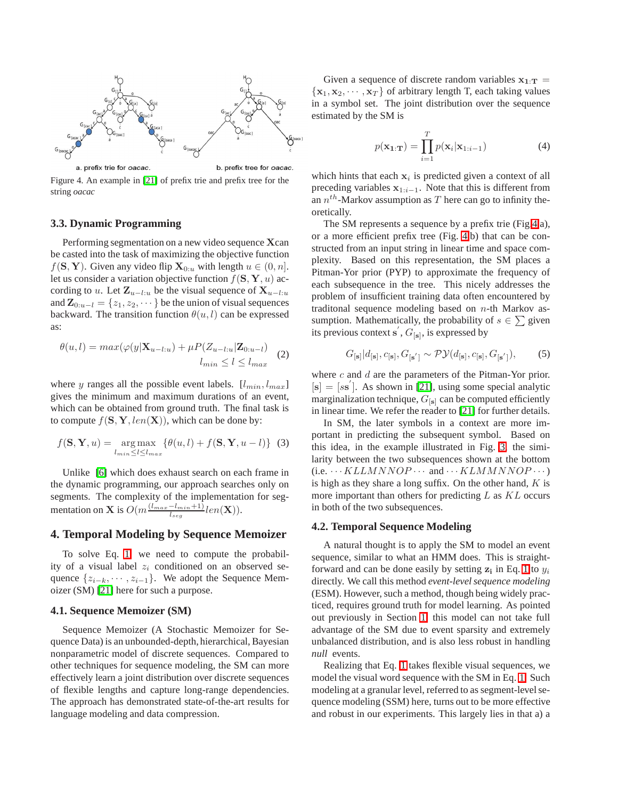

<span id="page-3-2"></span>Figure 4. An example in [\[21\]](#page-7-0) of prefix trie and prefix tree for the string *oacac*

#### **3.3. Dynamic Programming**

Performing segmentation on a new video sequence Xcan be casted into the task of maximizing the objective function  $f(\mathbf{S}, \mathbf{Y})$ . Given any video flip  $\mathbf{X}_{0:u}$  with length  $u \in (0, n]$ . let us consider a variation objective function  $f(\mathbf{S}, \mathbf{Y}, u)$  according to u. Let  $\mathbf{Z}_{u-l:u}$  be the visual sequence of  $\mathbf{X}_{u-l:u}$ and  $\mathbf{Z}_{0:u-l} = \{z_1, z_2, \dots\}$  be the union of visual sequences backward. The transition function  $\theta(u, l)$  can be expressed as:

$$
\theta(u,l) = max(\varphi(y|\mathbf{X}_{u-l:u}) + \mu P(Z_{u-l:u}|\mathbf{Z}_{0:u-l})
$$
  

$$
l_{min} \le l \le l_{max}
$$
 (2)

where y ranges all the possible event labels.  $[l_{min}, l_{max}]$ gives the minimum and maximum durations of an event, which can be obtained from ground truth. The final task is to compute  $f(\mathbf{S}, \mathbf{Y}, \text{len}(\mathbf{X}))$ , which can be done by:

$$
f(\mathbf{S}, \mathbf{Y}, u) = \underset{l_{min} \le l \le l_{max}}{\arg \max} \{ \theta(u, l) + f(\mathbf{S}, \mathbf{Y}, u - l) \} \tag{3}
$$

Unlike [\[6\]](#page-7-12) which does exhaust search on each frame in the dynamic programming, our approach searches only on segments. The complexity of the implementation for segmentation on **X** is  $O(m \frac{(l_{max} - l_{min} + 1)}{l_{max}})$  $\frac{-l_{min}+1)}{l_{seg}}len(\mathbf{X})).$ 

### <span id="page-3-0"></span>**4. Temporal Modeling by Sequence Memoizer**

To solve Eq. [1,](#page-2-2) we need to compute the probability of a visual label  $z_i$  conditioned on an observed sequence  $\{z_{i-k}, \dots, z_{i-1}\}$ . We adopt the Sequence Memoizer (SM) [\[21\]](#page-7-0) here for such a purpose.

#### **4.1. Sequence Memoizer (SM)**

Sequence Memoizer (A Stochastic Memoizer for Sequence Data) is an unbounded-depth, hierarchical, Bayesian nonparametric model of discrete sequences. Compared to other techniques for sequence modeling, the SM can more effectively learn a joint distribution over discrete sequences of flexible lengths and capture long-range dependencies. The approach has demonstrated state-of-the-art results for language modeling and data compression.

Given a sequence of discrete random variables  $x_{1:T}$  =  $\{x_1, x_2, \dots, x_T\}$  of arbitrary length T, each taking values in a symbol set. The joint distribution over the sequence estimated by the SM is

$$
p(\mathbf{x}_{1:T}) = \prod_{i=1}^{T} p(\mathbf{x}_i | \mathbf{x}_{1:i-1})
$$
 (4)

which hints that each  $x_i$  is predicted given a context of all preceding variables  $x_{1:i-1}$ . Note that this is different from an  $n^{th}$ -Markov assumption as T here can go to infinity theoretically.

The SM represents a sequence by a prefix trie (Fig[.4.](#page-3-2)a), or a more efficient prefix tree (Fig. [4.](#page-3-2)b) that can be constructed from an input string in linear time and space complexity. Based on this representation, the SM places a Pitman-Yor prior (PYP) to approximate the frequency of each subsequence in the tree. This nicely addresses the problem of insufficient training data often encountered by traditonal sequence modeling based on  $n$ -th Markov assumption. Mathematically, the probability of  $s \in \sum$  given its previous context s',  $G_{\{s\}}$ , is expressed by

$$
G_{\left[\mathbf{s}\right]}|d_{\left[\mathbf{s}\right]},c_{\left[\mathbf{s}\right]},G_{\left[\mathbf{s}'\right]}\sim\mathcal{PV}(d_{\left[\mathbf{s}\right]},c_{\left[\mathbf{s}\right]},G_{\left[\mathbf{s}'\right]}),\tag{5}
$$

where  $c$  and  $d$  are the parameters of the Pitman-Yor prior.  $[s] = [ss']$ . As shown in [\[21\]](#page-7-0), using some special analytic marginalization technique,  $G_{\{s\}}$  can be computed efficiently in linear time. We refer the reader to [\[21\]](#page-7-0) for further details.

In SM, the later symbols in a context are more important in predicting the subsequent symbol. Based on this idea, in the example illustrated in Fig. [3,](#page-2-0) the similarity between the two subsequences shown at the bottom  $(i.e. \cdots KLLMNNOP \cdots$  and  $\cdots KLMMNNOP \cdots$ ) is high as they share a long suffix. On the other hand,  $K$  is more important than others for predicting  $L$  as  $KL$  occurs in both of the two subsequences.

#### <span id="page-3-1"></span>**4.2. Temporal Sequence Modeling**

A natural thought is to apply the SM to model an event sequence, similar to what an HMM does. This is straightforward and can be done easily by setting  $z_i$  in Eq. [1](#page-2-2) to  $y_i$ directly. We call this method *event-level sequence modeling* (ESM). However, such a method, though being widely practiced, requires ground truth for model learning. As pointed out previously in Section [1,](#page-0-1) this model can not take full advantage of the SM due to event sparsity and extremely unbalanced distribution, and is also less robust in handling *null* events.

Realizing that Eq. [1](#page-2-2) takes flexible visual sequences, we model the visual word sequence with the SM in Eq. [1.](#page-2-2) Such modeling at a granular level, referred to as segment-level sequence modeling (SSM) here, turns out to be more effective and robust in our experiments. This largely lies in that a) a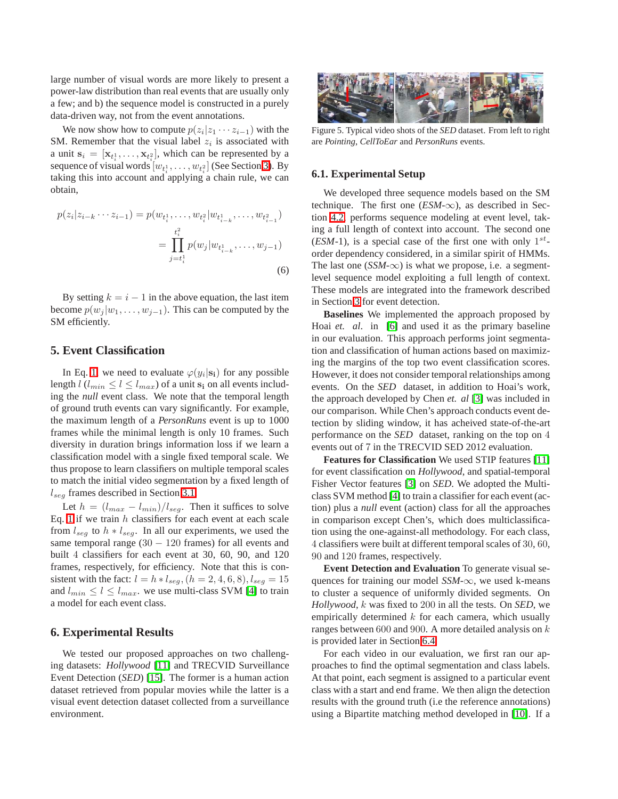large number of visual words are more likely to present a power-law distribution than real events that are usually only a few; and b) the sequence model is constructed in a purely data-driven way, not from the event annotations.

We now show how to compute  $p(z_i|z_1 \cdots z_{i-1})$  with the SM. Remember that the visual label  $z_i$  is associated with a unit  $\mathbf{s}_i = [\mathbf{x}_{t_i^1}, \dots, \mathbf{x}_{t_i^2}],$  which can be represented by a sequence of visual words  $[w_{t_i^1}, \ldots, w_{t_i^2}]$  (See Section [3\)](#page-2-3). By taking this into account and applying a chain rule, we can obtain,

$$
p(z_i|z_{i-k}\cdots z_{i-1}) = p(w_{t_i^1},\ldots,w_{t_i^2}|w_{t_{i-k}^1},\ldots,w_{t_{i-1}^2})
$$
  
= 
$$
\prod_{j=t_i^1}^{t_i^2} p(w_j|w_{t_{i-k}^1},\ldots,w_{j-1})
$$
  
(6)

By setting  $k = i - 1$  in the above equation, the last item become  $p(w_j | w_1, \ldots, w_{j-1})$ . This can be computed by the SM efficiently.

# <span id="page-4-0"></span>**5. Event Classification**

In Eq. [1,](#page-2-2) we need to evaluate  $\varphi(y_i|\mathbf{s_i})$  for any possible length  $l$  ( $l_{min} \le l \le l_{max}$ ) of a unit  $s_i$  on all events including the *null* event class. We note that the temporal length of ground truth events can vary significantly. For example, the maximum length of a *PersonRuns* event is up to 1000 frames while the minimal length is only 10 frames. Such diversity in duration brings information loss if we learn a classification model with a single fixed temporal scale. We thus propose to learn classifiers on multiple temporal scales to match the initial video segmentation by a fixed length of  $l_{seg}$  frames described in Section [3.1.](#page-2-4)

Let  $h = (l_{max} - l_{min})/l_{seg}$ . Then it suffices to solve Eq. [1](#page-2-2) if we train  $h$  classifiers for each event at each scale from  $l_{seg}$  to  $h * l_{seg}$ . In all our experiments, we used the same temporal range  $(30 - 120$  frames) for all events and built 4 classifiers for each event at 30, 60, 90, and 120 frames, respectively, for efficiency. Note that this is consistent with the fact:  $l = h * l_{seg}$ ,  $(h = 2, 4, 6, 8)$ ,  $l_{seg} = 15$ and  $l_{min} \leq l \leq l_{max}$ . we use multi-class SVM [\[4\]](#page-7-21) to train a model for each event class.

# **6. Experimental Results**

We tested our proposed approaches on two challenging datasets: *Hollywood* [\[11\]](#page-7-1) and TRECVID Surveillance Event Detection (*SED*) [\[15\]](#page-7-9). The former is a human action dataset retrieved from popular movies while the latter is a visual event detection dataset collected from a surveillance environment.



Figure 5. Typical video shots of the *SED* dataset. From left to right are *Pointing*, *CellToEar* and *PersonRuns* events.

#### <span id="page-4-1"></span>**6.1. Experimental Setup**

We developed three sequence models based on the SM technique. The first one (*ESM-*∞), as described in Section [4.2,](#page-3-1) performs sequence modeling at event level, taking a full length of context into account. The second one (*ESM*-1), is a special case of the first one with only  $1^{st}$ order dependency considered, in a similar spirit of HMMs. The last one (*SSM*- $\infty$ ) is what we propose, i.e. a segmentlevel sequence model exploiting a full length of context. These models are integrated into the framework described in Section [3](#page-2-3) for event detection.

**Baselines** We implemented the approach proposed by Hoai *et. al*. in [\[6\]](#page-7-12) and used it as the primary baseline in our evaluation. This approach performs joint segmentation and classification of human actions based on maximizing the margins of the top two event classification scores. However, it does not consider temporal relationships among events. On the *SED* dataset, in addition to Hoai's work, the approach developed by Chen *et. al* [\[3\]](#page-7-15) was included in our comparison. While Chen's approach conducts event detection by sliding window, it has acheived state-of-the-art performance on the *SED* dataset, ranking on the top on 4 events out of 7 in the TRECVID SED 2012 evaluation.

**Features for Classification** We used STIP features [\[11\]](#page-7-1) for event classification on *Hollywood*, and spatial-temporal Fisher Vector features [\[3\]](#page-7-15) on *SED*. We adopted the Multiclass SVM method [\[4\]](#page-7-21) to train a classifier for each event (action) plus a *null* event (action) class for all the approaches in comparison except Chen's, which does multiclassification using the one-against-all methodology. For each class, 4 classifiers were built at different temporal scales of 30, 60, 90 and 120 frames, respectively.

**Event Detection and Evaluation** To generate visual sequences for training our model *SSM-*∞, we used k-means to cluster a sequence of uniformly divided segments. On *Hollywood*, k was fixed to 200 in all the tests. On *SED*, we empirically determined  $k$  for each camera, which usually ranges between 600 and 900. A more detailed analysis on k is provided later in Section [6.4.](#page-6-0)

For each video in our evaluation, we first ran our approaches to find the optimal segmentation and class labels. At that point, each segment is assigned to a particular event class with a start and end frame. We then align the detection results with the ground truth (i.e the reference annotations) using a Bipartite matching method developed in [\[10\]](#page-7-22). If a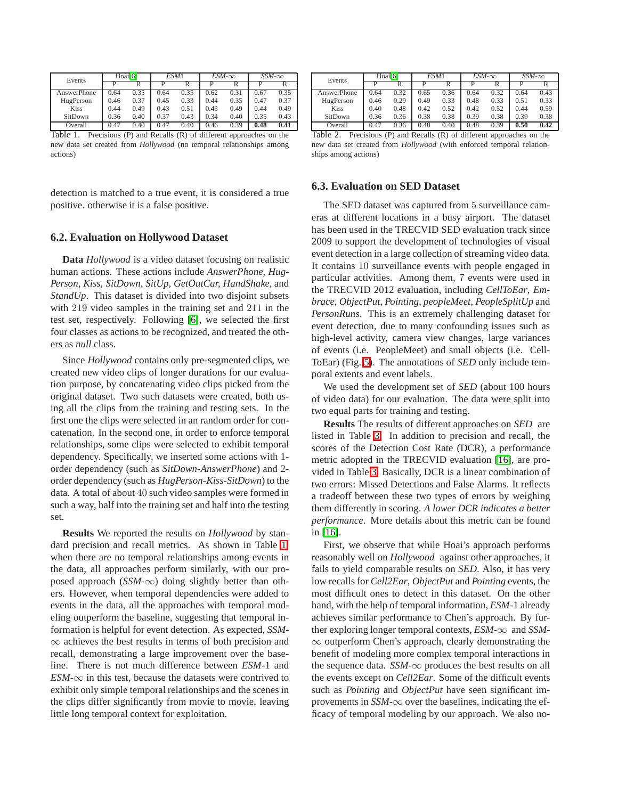| Events      |      | Hoai <sup>[6]</sup> |      | ESM1 |      | $ESM-\infty$ | $SSM-\infty$ |      |  |
|-------------|------|---------------------|------|------|------|--------------|--------------|------|--|
|             |      |                     |      |      |      |              |              |      |  |
| AnswerPhone | 0.64 | 0.35                | 0.64 | 0.35 | 0.62 | 0.31         | 0.67         | 0.35 |  |
| HugPerson   | 0.46 | 0.37                | 0.45 | 0.33 | 0.44 | 0.35         | 0.47         | 0.37 |  |
| Kiss        | 0.44 | 0.49                | 0.43 | 0.51 | 0.43 | 0.49         | 0.44         | 0.49 |  |
| SitDown     | 0.36 | 0.40                | 0.37 | 0.43 | 0.34 | 0.40         | 0.35         | 0.43 |  |
| Overall     | 0.47 | 0.40                | 0.47 | 0.40 | 0.46 | 0.39         | 0.48         | 0.41 |  |

<span id="page-5-0"></span>Table 1. Precisions (P) and Recalls (R) of different approaches on the new data set created from *Hollywood* (no temporal relationships among actions)

detection is matched to a true event, it is considered a true positive. otherwise it is a false positive.

#### **6.2. Evaluation on Hollywood Dataset**

**Data** *Hollywood* is a video dataset focusing on realistic human actions. These actions include *AnswerPhone, Hug-Person, Kiss, SitDown, SitUp, GetOutCar, HandShake,* and *StandUp*. This dataset is divided into two disjoint subsets with 219 video samples in the training set and 211 in the test set, respectively. Following [\[6\]](#page-7-12), we selected the first four classes as actions to be recognized, and treated the others as *null* class.

Since *Hollywood* contains only pre-segmented clips, we created new video clips of longer durations for our evaluation purpose, by concatenating video clips picked from the original dataset. Two such datasets were created, both using all the clips from the training and testing sets. In the first one the clips were selected in an random order for concatenation. In the second one, in order to enforce temporal relationships, some clips were selected to exhibit temporal dependency. Specifically, we inserted some actions with 1 order dependency (such as *SitDown-AnswerPhone*) and 2 order dependency (such as *HugPerson-Kiss-SitDown*) to the data. A total of about 40 such video samples were formed in such a way, half into the training set and half into the testing set.

**Results** We reported the results on *Hollywood* by standard precision and recall metrics. As shown in Table [1,](#page-5-0) when there are no temporal relationships among events in the data, all approaches perform similarly, with our proposed approach (*SSM-*∞) doing slightly better than others. However, when temporal dependencies were added to events in the data, all the approaches with temporal modeling outperform the baseline, suggesting that temporal information is helpful for event detection. As expected, *SSM-*  $\infty$  achieves the best results in terms of both precision and recall, demonstrating a large improvement over the baseline. There is not much difference between *ESM*-1 and *ESM-*∞ in this test, because the datasets were contrived to exhibit only simple temporal relationships and the scenes in the clips differ significantly from movie to movie, leaving little long temporal context for exploitation.

| Events      |      | Hoai <sup>[6]</sup> |      | ESM1 |      | $ESM-\infty$ | $SSM-\infty$ |      |  |
|-------------|------|---------------------|------|------|------|--------------|--------------|------|--|
|             |      |                     |      | R    |      |              |              |      |  |
| AnswerPhone | 0.64 | 0.32                | 0.65 | 0.36 | 0.64 | 0.32         | 0.64         | 0.43 |  |
| HugPerson   | 0.46 | 0.29                | 0.49 | 0.33 | 0.48 | 0.33         | 0.51         | 0.33 |  |
| Kiss        | 0.40 | 0.48                | 0.42 | 0.52 | 0.42 | 0.52         | 0.44         | 0.59 |  |
| SitDown     | 0.36 | 0.36                | 0.38 | 0.38 | 0.39 | 0.38         | 0.39         | 0.38 |  |
| Overall     | 0.47 | 0.36                | 0.48 | 0.40 | 0.48 | 0.39         | 0.50         | 0.42 |  |

Table 2. Precisions (P) and Recalls (R) of different approaches on the new data set created from *Hollywood* (with enforced temporal relationships among actions)

#### **6.3. Evaluation on SED Dataset**

The SED dataset was captured from 5 surveillance cameras at different locations in a busy airport. The dataset has been used in the TRECVID SED evaluation track since 2009 to support the development of technologies of visual event detection in a large collection of streaming video data. It contains 10 surveillance events with people engaged in particular activities. Among them, 7 events were used in the TRECVID 2012 evaluation, including *CellToEar*, *Embrace*, *ObjectPut*, *Pointing*, *peopleMeet*, *PeopleSplitUp* and *PersonRuns*. This is an extremely challenging dataset for event detection, due to many confounding issues such as high-level activity, camera view changes, large variances of events (i.e. PeopleMeet) and small objects (i.e. Cell-ToEar) (Fig. [5\)](#page-4-1). The annotations of *SED* only include temporal extents and event labels.

We used the development set of *SED* (about 100 hours of video data) for our evaluation. The data were split into two equal parts for training and testing.

**Results** The results of different approaches on *SED* are listed in Table [3.](#page-6-1) In addition to precision and recall, the scores of the Detection Cost Rate (DCR), a performance metric adopted in the TRECVID evaluation [\[16\]](#page-7-23), are provided in Table [3.](#page-6-1) Basically, DCR is a linear combination of two errors: Missed Detections and False Alarms. It reflects a tradeoff between these two types of errors by weighing them differently in scoring. *A lower DCR indicates a better performance*. More details about this metric can be found in [\[16\]](#page-7-23).

First, we observe that while Hoai's approach performs reasonably well on *Hollywood* against other approaches, it fails to yield comparable results on *SED*. Also, it has very low recalls for *Cell2Ear*, *ObjectPut* and *Pointing* events, the most difficult ones to detect in this dataset. On the other hand, with the help of temporal information, *ESM*-1 already achieves similar performance to Chen's approach. By further exploring longer temporal contexts, *ESM-*∞ and *SSM-*  $\infty$  outperform Chen's approach, clearly demonstrating the benefit of modeling more complex temporal interactions in the sequence data.  $SSM$ - $\infty$  produces the best results on all the events except on *Cell2Ear*. Some of the difficult events such as *Pointing* and *ObjectPut* have seen significant improvements in  $SSM$ - $\infty$  over the baselines, indicating the efficacy of temporal modeling by our approach. We also no-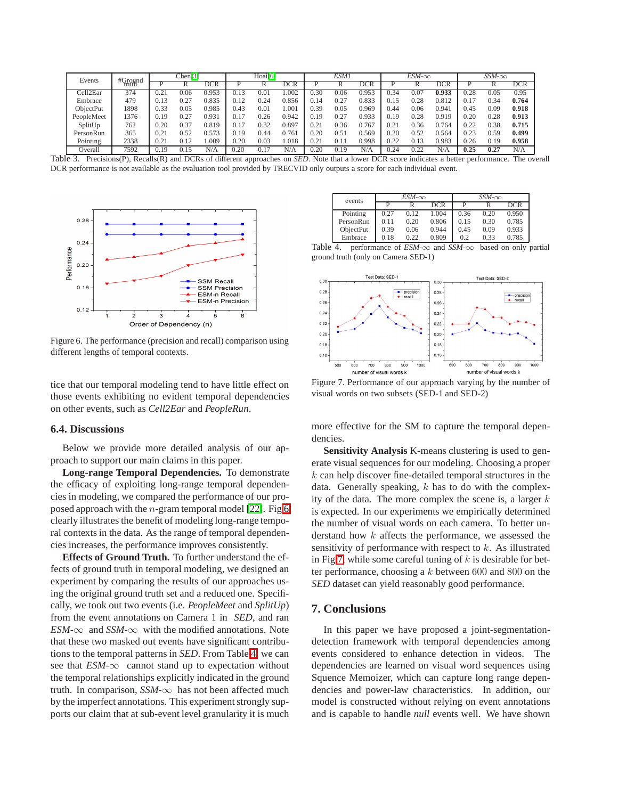| #Ground<br>Events<br>truth |      | Chen[3] |      | Hoai[6] |      | ESM <sub>1</sub> |       |      | $ESM-\infty$ |       |               | $SSM-\infty$ |       |           |      |                  |
|----------------------------|------|---------|------|---------|------|------------------|-------|------|--------------|-------|---------------|--------------|-------|-----------|------|------------------|
|                            |      |         |      | DCR     |      |                  | DCR   |      |              | DCR   |               |              | DCR   |           |      | DCR <sup>-</sup> |
| Cell2Ear                   | 374  | 0.2     | 0.06 | 0.953   | 0.13 | 0.0              | .002  | 0.30 | 0.06         | 0.953 | ).34          | 0.07         | 0.933 | $_{0.28}$ | 0.05 | 0.95             |
| Embrace                    | 479  | 0.13    | 0.27 | 0.835   | 0.12 | 0.24             | 0.856 | 0.14 | 0.27         | 0.833 | 0.15          | 0.28         | 0.812 | 0.17      | 0.34 | 0.764            |
| ObjectPut                  | 1898 | 0.33    | 0.05 | 0.985   | 0.43 | 0.01             | .001  | 0.39 | 0.05         | 0.969 | 0.44          | 0.06         | 0.941 | 0.45      | 0.09 | 0.918            |
| PeopleMeet                 | 1376 | 0.19    | 0.27 | 0.931   | 0.17 | 0.26             | 0.942 | 0.19 | 0.27         | 0.933 | 0.19          | 0.28         | 0.919 | 0.20      | 0.28 | 0.913            |
| SplitUp                    | 762  | 0.20    | 0.37 | 0.819   | 0.17 | 0.32             | 0.897 | 0.21 | 0.36         | 0.767 | $0.2^{\circ}$ | 0.36         | 0.764 | 0.22      | 0.38 | 0.715            |
| PersonRun                  | 365  | 0.21    | 0.52 | 0.573   | 0.19 | 0.44             | 0.761 | 0.20 | 0.51         | 0.569 | 0.20          | 0.52         | 0.564 | 0.23      | 0.59 | 0.499            |
| Pointing                   | 2338 | 0.21    | 0.12 | .009    | 0.20 | 0.03             | .018  | 0.21 | 0.11         | 0.998 | 0.22          | 0.13         | 0.983 | 0.26      | 0.19 | 0.958            |
| Overall                    | 7592 | 0.19    | J.15 | N/A     | 0.20 | 0.17             | N/A   | 0.20 | 0.19         | N/A   | 0.24          | 0.22         | N/A   | 0.25      | 0.27 | N/A              |

<span id="page-6-1"></span>Table 3. Precisions(P), Recalls(R) and DCRs of different approaches on *SED*. Note that a lower DCR score indicates a better performance. The overall DCR performance is not available as the evaluation tool provided by TRECVID only outputs a score for each individual event.



<span id="page-6-2"></span>Figure 6. The performance (precision and recall) comparison using different lengths of temporal contexts.

tice that our temporal modeling tend to have little effect on those events exhibiting no evident temporal dependencies on other events, such as *Cell2Ear* and *PeopleRun*.

#### <span id="page-6-0"></span>**6.4. Discussions**

Below we provide more detailed analysis of our approach to support our main claims in this paper.

**Long-range Temporal Dependencies.** To demonstrate the efficacy of exploiting long-range temporal dependencies in modeling, we compared the performance of our proposed approach with the *n*-gram temporal model [\[22\]](#page-7-20). Fig [6](#page-6-2) clearly illustrates the benefit of modeling long-range temporal contexts in the data. As the range of temporal dependencies increases, the performance improves consistently.

**Effects of Ground Truth.** To further understand the effects of ground truth in temporal modeling, we designed an experiment by comparing the results of our approaches using the original ground truth set and a reduced one. Specifically, we took out two events (i.e. *PeopleMeet* and *SplitUp*) from the event annotations on Camera 1 in *SED*, and ran *ESM-* $\infty$  and *SSM-* $\infty$  with the modified annotations. Note that these two masked out events have significant contributions to the temporal patterns in *SED*. From Table [4,](#page-6-3) we can see that  $ESM-\infty$  cannot stand up to expectation without the temporal relationships explicitly indicated in the ground truth. In comparison,  $SSM$ - $\infty$  has not been affected much by the imperfect annotations. This experiment strongly supports our claim that at sub-event level granularity it is much

| events    |      | $ESM-\infty$ |            | $SSM-\infty$ |      |       |  |  |
|-----------|------|--------------|------------|--------------|------|-------|--|--|
|           | D    |              | <b>DCR</b> |              |      | DCR   |  |  |
| Pointing  | 0.27 | 0.12         | 1.004      | 0.36         | 0.20 | 0.950 |  |  |
| PersonRun | 0.11 | 0.20         | 0.806      | 0.15         | 0.30 | 0.785 |  |  |
| ObjectPut | 0.39 | 0.06         | 0.944      | 0.45         | 0.09 | 0.933 |  |  |
| Embrace   | 0.18 | 0.22         | 0.809      | 02           | 0.33 | 0.785 |  |  |

<span id="page-6-3"></span>Table 4. performance of  $ESM$ - $\infty$  and  $SSM$ - $\infty$  based on only partial ground truth (only on Camera SED-1)



<span id="page-6-4"></span>Figure 7. Performance of our approach varying by the number of visual words on two subsets (SED-1 and SED-2)

more effective for the SM to capture the temporal dependencies.

**Sensitivity Analysis** K-means clustering is used to generate visual sequences for our modeling. Choosing a proper  $k$  can help discover fine-detailed temporal structures in the data. Generally speaking,  $k$  has to do with the complexity of the data. The more complex the scene is, a larger  $k$ is expected. In our experiments we empirically determined the number of visual words on each camera. To better understand how k affects the performance, we assessed the sensitivity of performance with respect to  $k$ . As illustrated in Fig [7,](#page-6-4) while some careful tuning of  $k$  is desirable for better performance, choosing a  $k$  between 600 and 800 on the *SED* dataset can yield reasonably good performance.

## **7. Conclusions**

In this paper we have proposed a joint-segmentationdetection framework with temporal dependencies among events considered to enhance detection in videos. The dependencies are learned on visual word sequences using Squence Memoizer, which can capture long range dependencies and power-law characteristics. In addition, our model is constructed without relying on event annotations and is capable to handle *null* events well. We have shown